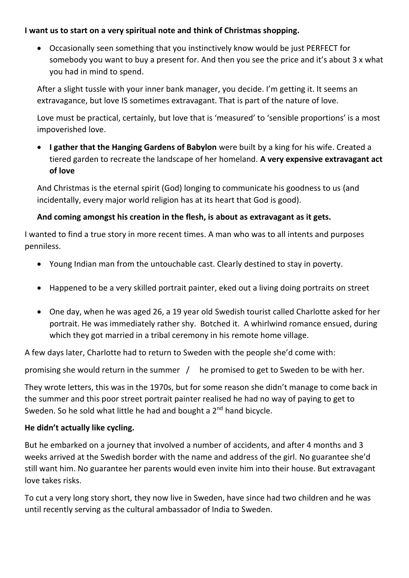## **I want us to start on a very spiritual note and think of Christmas shopping.**

• Occasionally seen something that you instinctively know would be just PERFECT for somebody you want to buy a present for. And then you see the price and it's about 3 x what you had in mind to spend.

After a slight tussle with your inner bank manager, you decide. I'm getting it. It seems an extravagance, but love IS sometimes extravagant. That is part of the nature of love.

Love must be practical, certainly, but love that is 'measured' to 'sensible proportions' is a most impoverished love.

• **I gather that the Hanging Gardens of Babylon** were built by a king for his wife. Created a tiered garden to recreate the landscape of her homeland. **A very expensive extravagant act of love**

And Christmas is the eternal spirit (God) longing to communicate his goodness to us (and incidentally, every major world religion has at its heart that God is good).

## **And coming amongst his creation in the flesh, is about as extravagant as it gets.**

I wanted to find a true story in more recent times. A man who was to all intents and purposes penniless.

- Young Indian man from the untouchable cast. Clearly destined to stay in poverty.
- Happened to be a very skilled portrait painter, eked out a living doing portraits on street
- One day, when he was aged 26, a 19 year old Swedish tourist called Charlotte asked for her portrait. He was immediately rather shy. Botched it. A whirlwind romance ensued, during which they got married in a tribal ceremony in his remote home village.

A few days later, Charlotte had to return to Sweden with the people she'd come with:

promising she would return in the summer / he promised to get to Sweden to be with her.

They wrote letters, this was in the 1970s, but for some reason she didn't manage to come back in the summer and this poor street portrait painter realised he had no way of paying to get to Sweden. So he sold what little he had and bought a 2<sup>nd</sup> hand bicycle.

## **He didn't actually like cycling.**

But he embarked on a journey that involved a number of accidents, and after 4 months and 3 weeks arrived at the Swedish border with the name and address of the girl. No guarantee she'd still want him. No guarantee her parents would even invite him into their house. But extravagant love takes risks.

To cut a very long story short, they now live in Sweden, have since had two children and he was until recently serving as the cultural ambassador of India to Sweden.